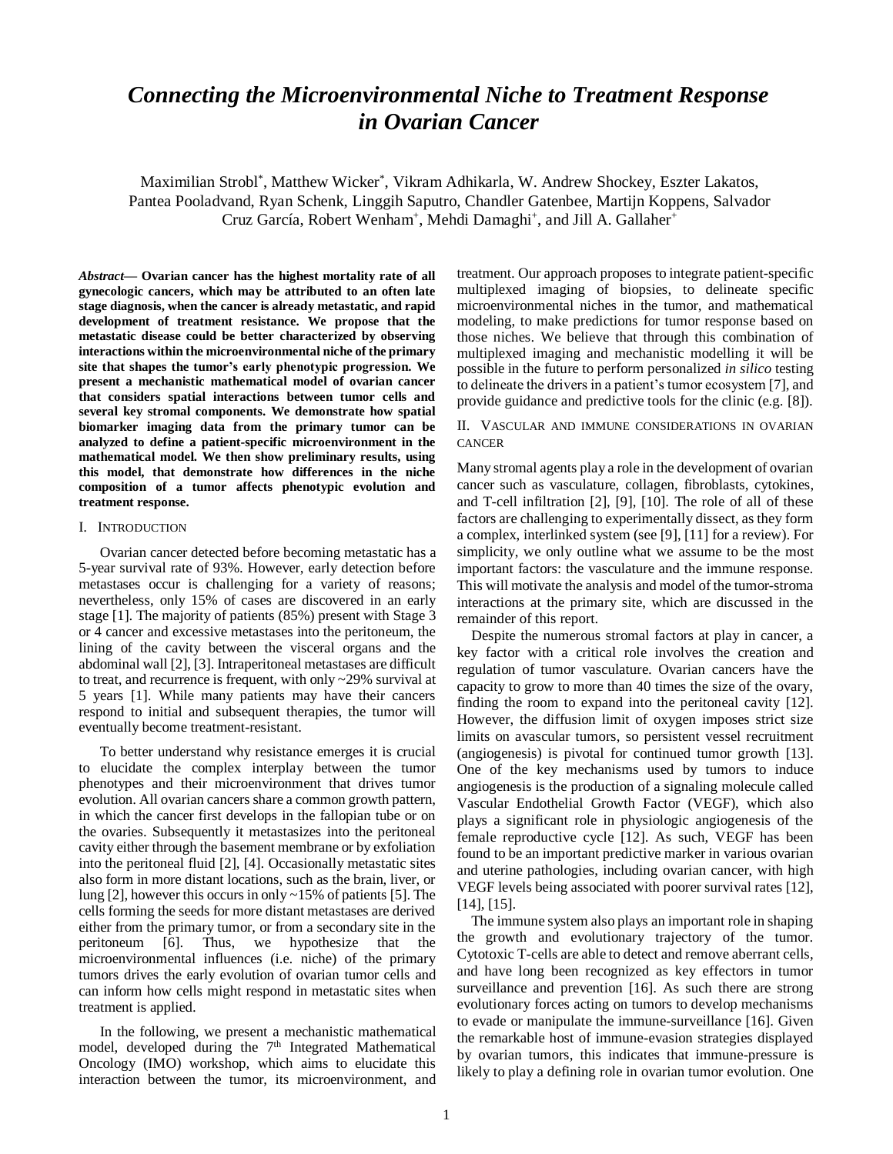# *Connecting the Microenvironmental Niche to Treatment Response in Ovarian Cancer*

Maximilian Strobl\* , Matthew Wicker\* , Vikram Adhikarla, W. Andrew Shockey, Eszter Lakatos, Pantea Pooladvand, Ryan Schenk, Linggih Saputro, Chandler Gatenbee, Martijn Koppens, Salvador Cruz García, Robert Wenham<sup>+</sup>, Mehdi Damaghi<sup>+</sup>, and Jill A. Gallaher<sup>+</sup>

*Abstract***— Ovarian cancer has the highest mortality rate of all gynecologic cancers, which may be attributed to an often late stage diagnosis, when the cancer is already metastatic, and rapid development of treatment resistance. We propose that the metastatic disease could be better characterized by observing interactions within the microenvironmental niche of the primary site that shapes the tumor's early phenotypic progression. We present a mechanistic mathematical model of ovarian cancer that considers spatial interactions between tumor cells and several key stromal components. We demonstrate how spatial biomarker imaging data from the primary tumor can be analyzed to define a patient-specific microenvironment in the mathematical model. We then show preliminary results, using this model, that demonstrate how differences in the niche composition of a tumor affects phenotypic evolution and treatment response.** 

## I. INTRODUCTION

Ovarian cancer detected before becoming metastatic has a 5-year survival rate of 93%. However, early detection before metastases occur is challenging for a variety of reasons; nevertheless, only 15% of cases are discovered in an early stage [1]. The majority of patients (85%) present with Stage 3 or 4 cancer and excessive metastases into the peritoneum, the lining of the cavity between the visceral organs and the abdominal wall [2], [3]. Intraperitoneal metastases are difficult to treat, and recurrence is frequent, with only ~29% survival at 5 years [1]. While many patients may have their cancers respond to initial and subsequent therapies, the tumor will eventually become treatment-resistant.

To better understand why resistance emerges it is crucial to elucidate the complex interplay between the tumor phenotypes and their microenvironment that drives tumor evolution. All ovarian cancers share a common growth pattern, in which the cancer first develops in the fallopian tube or on the ovaries. Subsequently it metastasizes into the peritoneal cavity either through the basement membrane or by exfoliation into the peritoneal fluid [2], [4]. Occasionally metastatic sites also form in more distant locations, such as the brain, liver, or lung [2], however this occurs in only ~15% of patients [5]. The cells forming the seeds for more distant metastases are derived either from the primary tumor, or from a secondary site in the peritoneum [6]. Thus, we hypothesize that the microenvironmental influences (i.e. niche) of the primary tumors drives the early evolution of ovarian tumor cells and can inform how cells might respond in metastatic sites when treatment is applied.

In the following, we present a mechanistic mathematical model, developed during the 7<sup>th</sup> Integrated Mathematical Oncology (IMO) workshop, which aims to elucidate this interaction between the tumor, its microenvironment, and treatment. Our approach proposes to integrate patient-specific multiplexed imaging of biopsies, to delineate specific microenvironmental niches in the tumor, and mathematical modeling, to make predictions for tumor response based on those niches. We believe that through this combination of multiplexed imaging and mechanistic modelling it will be possible in the future to perform personalized *in silico* testing to delineate the drivers in a patient's tumor ecosystem [7], and provide guidance and predictive tools for the clinic (e.g. [8]).

#### II. VASCULAR AND IMMUNE CONSIDERATIONS IN OVARIAN **CANCER**

Many stromal agents play a role in the development of ovarian cancer such as vasculature, collagen, fibroblasts, cytokines, and T-cell infiltration [2], [9], [10]. The role of all of these factors are challenging to experimentally dissect, as they form a complex, interlinked system (see [9], [11] for a review). For simplicity, we only outline what we assume to be the most important factors: the vasculature and the immune response. This will motivate the analysis and model of the tumor-stroma interactions at the primary site, which are discussed in the remainder of this report.

Despite the numerous stromal factors at play in cancer, a key factor with a critical role involves the creation and regulation of tumor vasculature. Ovarian cancers have the capacity to grow to more than 40 times the size of the ovary, finding the room to expand into the peritoneal cavity [12]. However, the diffusion limit of oxygen imposes strict size limits on avascular tumors, so persistent vessel recruitment (angiogenesis) is pivotal for continued tumor growth [13]. One of the key mechanisms used by tumors to induce angiogenesis is the production of a signaling molecule called Vascular Endothelial Growth Factor (VEGF), which also plays a significant role in physiologic angiogenesis of the female reproductive cycle [12]. As such, VEGF has been found to be an important predictive marker in various ovarian and uterine pathologies, including ovarian cancer, with high VEGF levels being associated with poorer survival rates [12], [14], [15].

The immune system also plays an important role in shaping the growth and evolutionary trajectory of the tumor. Cytotoxic T-cells are able to detect and remove aberrant cells, and have long been recognized as key effectors in tumor surveillance and prevention [16]. As such there are strong evolutionary forces acting on tumors to develop mechanisms to evade or manipulate the immune-surveillance [16]. Given the remarkable host of immune-evasion strategies displayed by ovarian tumors, this indicates that immune-pressure is likely to play a defining role in ovarian tumor evolution. One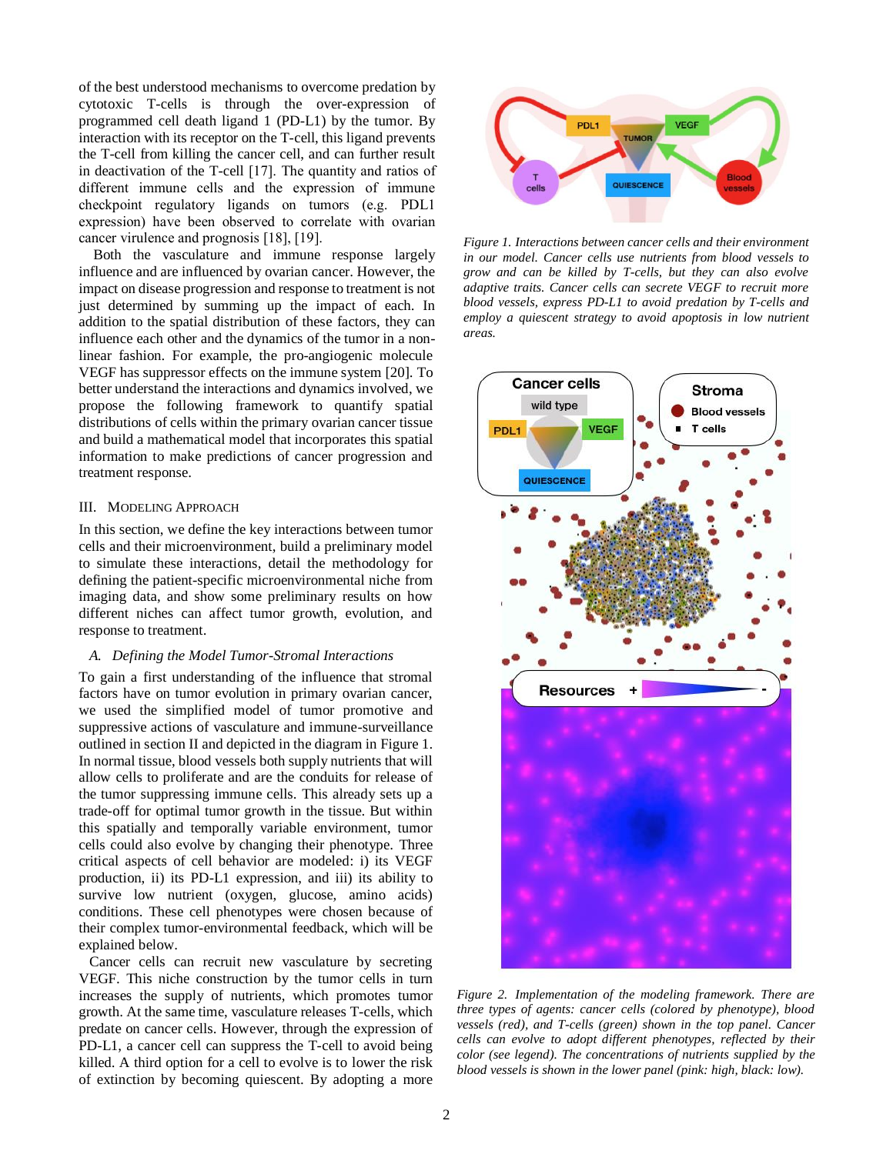of the best understood mechanisms to overcome predation by cytotoxic T-cells is through the over-expression of programmed cell death ligand 1 (PD-L1) by the tumor. By interaction with its receptor on the T-cell, this ligand prevents the T-cell from killing the cancer cell, and can further result in deactivation of the T-cell [17]. The quantity and ratios of different immune cells and the expression of immune checkpoint regulatory ligands on tumors (e.g. PDL1 expression) have been observed to correlate with ovarian cancer virulence and prognosis [18], [19].

Both the vasculature and immune response largely influence and are influenced by ovarian cancer. However, the impact on disease progression and response to treatment is not just determined by summing up the impact of each. In addition to the spatial distribution of these factors, they can influence each other and the dynamics of the tumor in a nonlinear fashion. For example, the pro-angiogenic molecule VEGF has suppressor effects on the immune system [20]. To better understand the interactions and dynamics involved, we propose the following framework to quantify spatial distributions of cells within the primary ovarian cancer tissue and build a mathematical model that incorporates this spatial information to make predictions of cancer progression and treatment response.

## III. MODELING APPROACH

In this section, we define the key interactions between tumor cells and their microenvironment, build a preliminary model to simulate these interactions, detail the methodology for defining the patient-specific microenvironmental niche from imaging data, and show some preliminary results on how different niches can affect tumor growth, evolution, and response to treatment.

#### *A. Defining the Model Tumor-Stromal Interactions*

To gain a first understanding of the influence that stromal factors have on tumor evolution in primary ovarian cancer, we used the simplified model of tumor promotive and suppressive actions of vasculature and immune-surveillance outlined in section II and depicted in the diagram in Figure 1. In normal tissue, blood vessels both supply nutrients that will allow cells to proliferate and are the conduits for release of the tumor suppressing immune cells. This already sets up a trade-off for optimal tumor growth in the tissue. But within this spatially and temporally variable environment, tumor cells could also evolve by changing their phenotype. Three critical aspects of cell behavior are modeled: i) its VEGF production, ii) its PD-L1 expression, and iii) its ability to survive low nutrient (oxygen, glucose, amino acids) conditions. These cell phenotypes were chosen because of their complex tumor-environmental feedback, which will be explained below.

Cancer cells can recruit new vasculature by secreting VEGF. This niche construction by the tumor cells in turn increases the supply of nutrients, which promotes tumor growth. At the same time, vasculature releases T-cells, which predate on cancer cells. However, through the expression of PD-L1, a cancer cell can suppress the T-cell to avoid being killed. A third option for a cell to evolve is to lower the risk of extinction by becoming quiescent. By adopting a more



*Figure 1. Interactions between cancer cells and their environment in our model. Cancer cells use nutrients from blood vessels to grow and can be killed by T-cells, but they can also evolve adaptive traits. Cancer cells can secrete VEGF to recruit more blood vessels, express PD-L1 to avoid predation by T-cells and employ a quiescent strategy to avoid apoptosis in low nutrient areas.*



*Figure 2. Implementation of the modeling framework. There are three types of agents: cancer cells (colored by phenotype), blood vessels (red), and T-cells (green) shown in the top panel. Cancer cells can evolve to adopt different phenotypes, reflected by their color (see legend). The concentrations of nutrients supplied by the blood vessels is shown in the lower panel (pink: high, black: low).*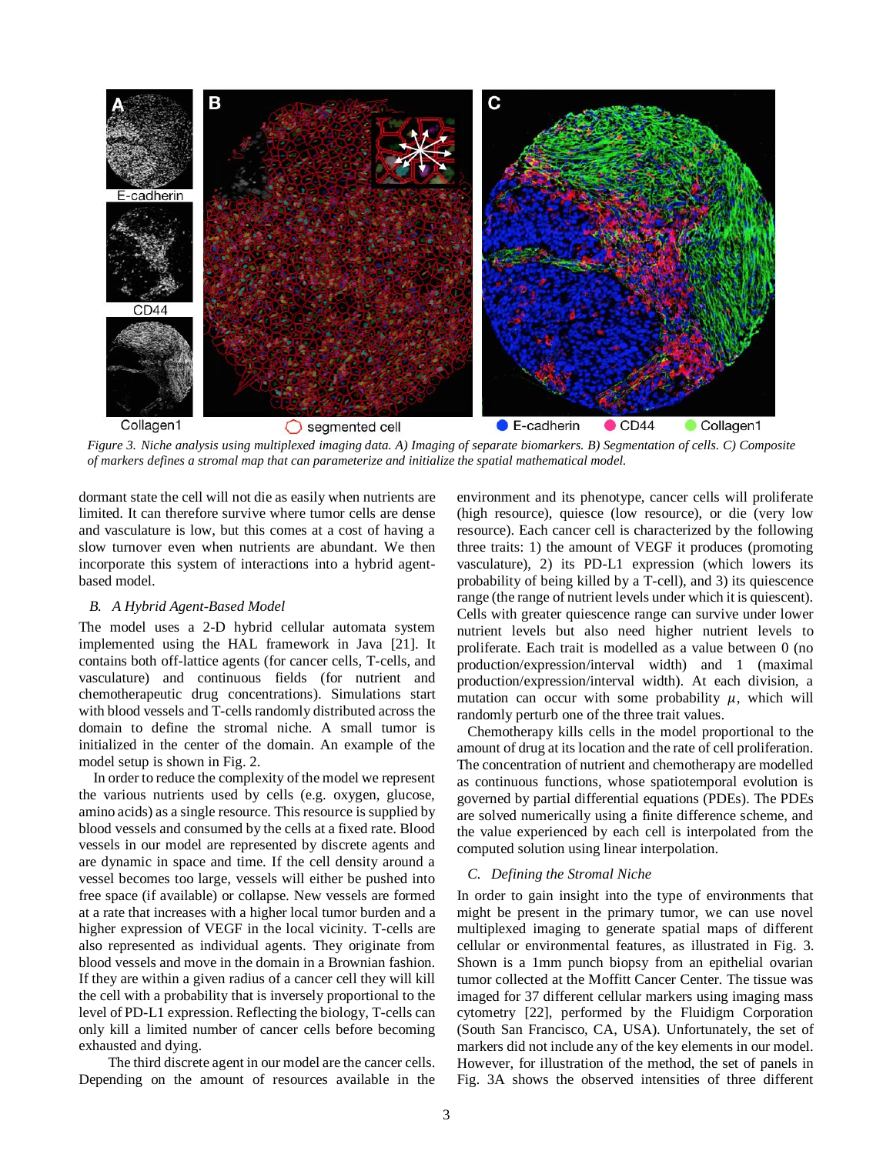

*Figure 3. Niche analysis using multiplexed imaging data. A) Imaging of separate biomarkers. B) Segmentation of cells. C) Composite of markers defines a stromal map that can parameterize and initialize the spatial mathematical model.*

dormant state the cell will not die as easily when nutrients are limited. It can therefore survive where tumor cells are dense and vasculature is low, but this comes at a cost of having a slow turnover even when nutrients are abundant. We then incorporate this system of interactions into a hybrid agentbased model.

## *B. A Hybrid Agent-Based Model*

The model uses a 2-D hybrid cellular automata system implemented using the HAL framework in Java [21]. It contains both off-lattice agents (for cancer cells, T-cells, and vasculature) and continuous fields (for nutrient and chemotherapeutic drug concentrations). Simulations start with blood vessels and T-cells randomly distributed across the domain to define the stromal niche. A small tumor is initialized in the center of the domain. An example of the model setup is shown in Fig. 2.

In order to reduce the complexity of the model we represent the various nutrients used by cells (e.g. oxygen, glucose, amino acids) as a single resource. This resource is supplied by blood vessels and consumed by the cells at a fixed rate. Blood vessels in our model are represented by discrete agents and are dynamic in space and time. If the cell density around a vessel becomes too large, vessels will either be pushed into free space (if available) or collapse. New vessels are formed at a rate that increases with a higher local tumor burden and a higher expression of VEGF in the local vicinity. T-cells are also represented as individual agents. They originate from blood vessels and move in the domain in a Brownian fashion. If they are within a given radius of a cancer cell they will kill the cell with a probability that is inversely proportional to the level of PD-L1 expression. Reflecting the biology, T-cells can only kill a limited number of cancer cells before becoming exhausted and dying.

The third discrete agent in our model are the cancer cells. Depending on the amount of resources available in the environment and its phenotype, cancer cells will proliferate (high resource), quiesce (low resource), or die (very low resource). Each cancer cell is characterized by the following three traits: 1) the amount of VEGF it produces (promoting vasculature), 2) its PD-L1 expression (which lowers its probability of being killed by a T-cell), and 3) its quiescence range (the range of nutrient levels under which it is quiescent). Cells with greater quiescence range can survive under lower nutrient levels but also need higher nutrient levels to proliferate. Each trait is modelled as a value between 0 (no production/expression/interval width) and 1 (maximal production/expression/interval width). At each division, a mutation can occur with some probability  $\mu$ , which will randomly perturb one of the three trait values.

Chemotherapy kills cells in the model proportional to the amount of drug at its location and the rate of cell proliferation. The concentration of nutrient and chemotherapy are modelled as continuous functions, whose spatiotemporal evolution is governed by partial differential equations (PDEs). The PDEs are solved numerically using a finite difference scheme, and the value experienced by each cell is interpolated from the computed solution using linear interpolation.

## *C. Defining the Stromal Niche*

In order to gain insight into the type of environments that might be present in the primary tumor, we can use novel multiplexed imaging to generate spatial maps of different cellular or environmental features, as illustrated in Fig. 3. Shown is a 1mm punch biopsy from an epithelial ovarian tumor collected at the Moffitt Cancer Center. The tissue was imaged for 37 different cellular markers using imaging mass cytometry [22], performed by the Fluidigm Corporation (South San Francisco, CA, USA). Unfortunately, the set of markers did not include any of the key elements in our model. However, for illustration of the method, the set of panels in Fig. 3A shows the observed intensities of three different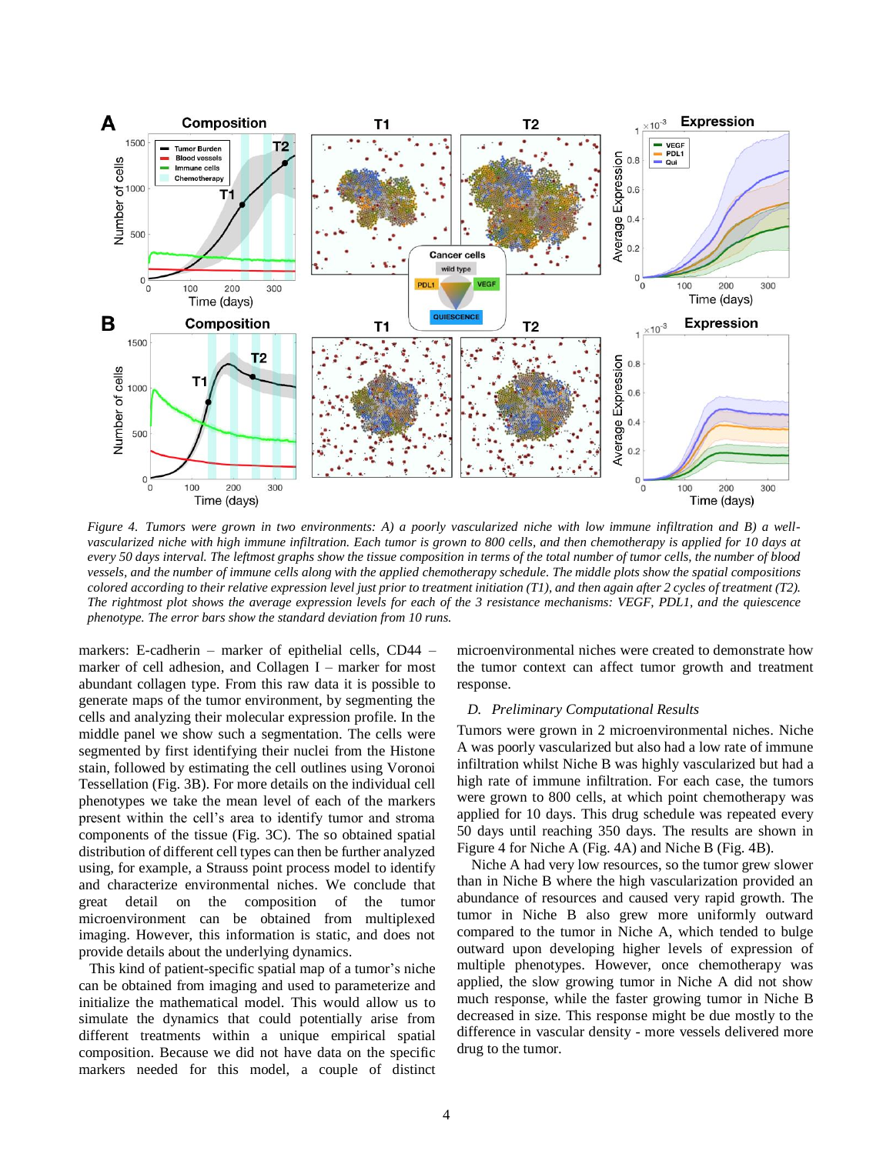

*Figure 4. Tumors were grown in two environments: A) a poorly vascularized niche with low immune infiltration and B) a wellvascularized niche with high immune infiltration. Each tumor is grown to 800 cells, and then chemotherapy is applied for 10 days at every 50 days interval. The leftmost graphs show the tissue composition in terms of the total number of tumor cells, the number of blood vessels, and the number of immune cells along with the applied chemotherapy schedule. The middle plots show the spatial compositions colored according to their relative expression level just prior to treatment initiation (T1), and then again after 2 cycles of treatment (T2). The rightmost plot shows the average expression levels for each of the 3 resistance mechanisms: VEGF, PDL1, and the quiescence phenotype. The error bars show the standard deviation from 10 runs.*

markers: E-cadherin – marker of epithelial cells, CD44 – marker of cell adhesion, and Collagen I – marker for most abundant collagen type. From this raw data it is possible to generate maps of the tumor environment, by segmenting the cells and analyzing their molecular expression profile. In the middle panel we show such a segmentation. The cells were segmented by first identifying their nuclei from the Histone stain, followed by estimating the cell outlines using Voronoi Tessellation (Fig. 3B). For more details on the individual cell phenotypes we take the mean level of each of the markers present within the cell's area to identify tumor and stroma components of the tissue (Fig. 3C). The so obtained spatial distribution of different cell types can then be further analyzed using, for example, a Strauss point process model to identify and characterize environmental niches. We conclude that great detail on the composition of the tumor microenvironment can be obtained from multiplexed imaging. However, this information is static, and does not provide details about the underlying dynamics.

This kind of patient-specific spatial map of a tumor's niche can be obtained from imaging and used to parameterize and initialize the mathematical model. This would allow us to simulate the dynamics that could potentially arise from different treatments within a unique empirical spatial composition. Because we did not have data on the specific markers needed for this model, a couple of distinct

microenvironmental niches were created to demonstrate how the tumor context can affect tumor growth and treatment response.

#### *D. Preliminary Computational Results*

Tumors were grown in 2 microenvironmental niches. Niche A was poorly vascularized but also had a low rate of immune infiltration whilst Niche B was highly vascularized but had a high rate of immune infiltration. For each case, the tumors were grown to 800 cells, at which point chemotherapy was applied for 10 days. This drug schedule was repeated every 50 days until reaching 350 days. The results are shown in Figure 4 for Niche A (Fig. 4A) and Niche B (Fig. 4B).

Niche A had very low resources, so the tumor grew slower than in Niche B where the high vascularization provided an abundance of resources and caused very rapid growth. The tumor in Niche B also grew more uniformly outward compared to the tumor in Niche A, which tended to bulge outward upon developing higher levels of expression of multiple phenotypes. However, once chemotherapy was applied, the slow growing tumor in Niche A did not show much response, while the faster growing tumor in Niche B decreased in size. This response might be due mostly to the difference in vascular density - more vessels delivered more drug to the tumor.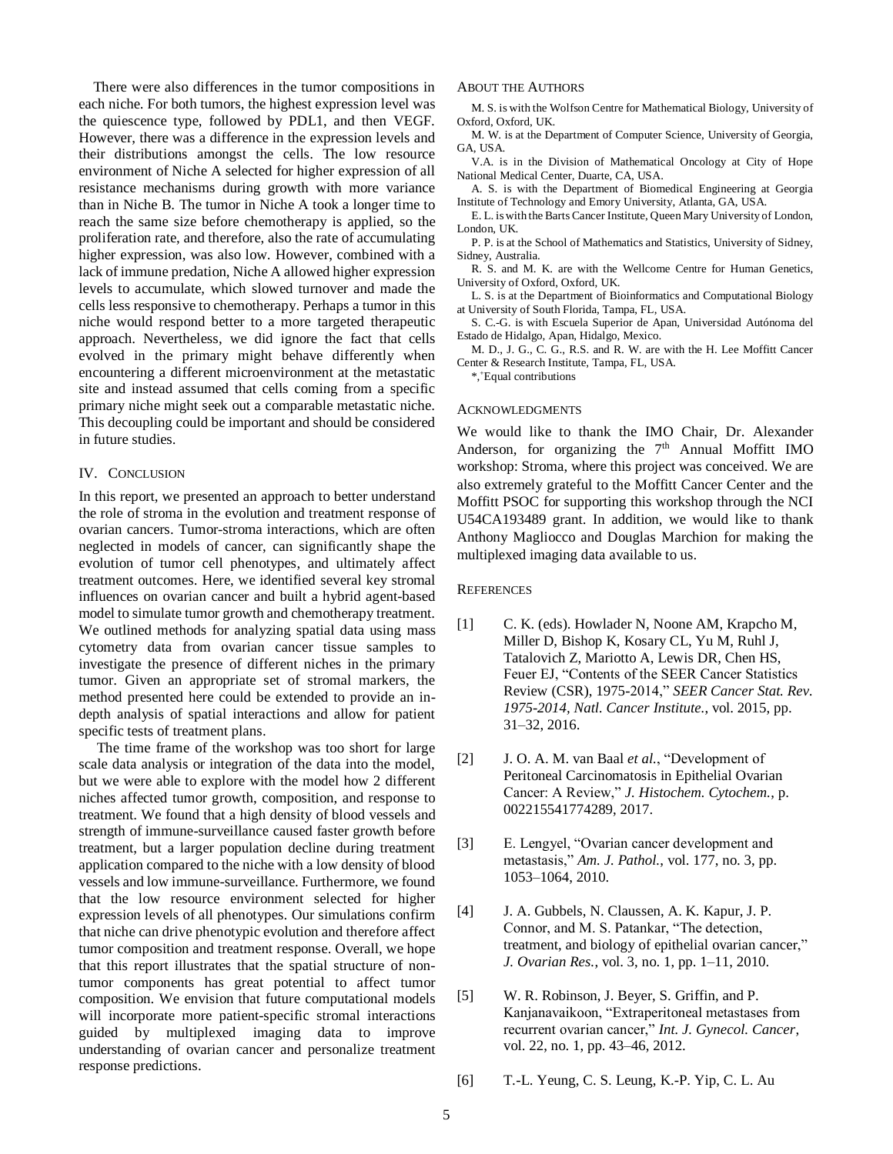There were also differences in the tumor compositions in each niche. For both tumors, the highest expression level was the quiescence type, followed by PDL1, and then VEGF. However, there was a difference in the expression levels and their distributions amongst the cells. The low resource environment of Niche A selected for higher expression of all resistance mechanisms during growth with more variance than in Niche B. The tumor in Niche A took a longer time to reach the same size before chemotherapy is applied, so the proliferation rate, and therefore, also the rate of accumulating higher expression, was also low. However, combined with a lack of immune predation, Niche A allowed higher expression levels to accumulate, which slowed turnover and made the cells less responsive to chemotherapy. Perhaps a tumor in this niche would respond better to a more targeted therapeutic approach. Nevertheless, we did ignore the fact that cells evolved in the primary might behave differently when encountering a different microenvironment at the metastatic site and instead assumed that cells coming from a specific primary niche might seek out a comparable metastatic niche. This decoupling could be important and should be considered in future studies.

## IV. CONCLUSION

In this report, we presented an approach to better understand the role of stroma in the evolution and treatment response of ovarian cancers. Tumor-stroma interactions, which are often neglected in models of cancer, can significantly shape the evolution of tumor cell phenotypes, and ultimately affect treatment outcomes. Here, we identified several key stromal influences on ovarian cancer and built a hybrid agent-based model to simulate tumor growth and chemotherapy treatment. We outlined methods for analyzing spatial data using mass cytometry data from ovarian cancer tissue samples to investigate the presence of different niches in the primary tumor. Given an appropriate set of stromal markers, the method presented here could be extended to provide an indepth analysis of spatial interactions and allow for patient specific tests of treatment plans.

The time frame of the workshop was too short for large scale data analysis or integration of the data into the model, but we were able to explore with the model how 2 different niches affected tumor growth, composition, and response to treatment. We found that a high density of blood vessels and strength of immune-surveillance caused faster growth before treatment, but a larger population decline during treatment application compared to the niche with a low density of blood vessels and low immune-surveillance. Furthermore, we found that the low resource environment selected for higher expression levels of all phenotypes. Our simulations confirm that niche can drive phenotypic evolution and therefore affect tumor composition and treatment response. Overall, we hope that this report illustrates that the spatial structure of nontumor components has great potential to affect tumor composition. We envision that future computational models will incorporate more patient-specific stromal interactions guided by multiplexed imaging data to improve understanding of ovarian cancer and personalize treatment response predictions.

#### ABOUT THE AUTHORS

M. S. is with the Wolfson Centre for Mathematical Biology, University of Oxford, Oxford, UK.

M. W. is at the Department of Computer Science, University of Georgia, GA, USA.

V.A. is in the Division of Mathematical Oncology at City of Hope National Medical Center, Duarte, CA, USA.

A. S. is with the Department of Biomedical Engineering at Georgia Institute of Technology and Emory University, Atlanta, GA, USA.

E. L. is with the Barts Cancer Institute, Queen Mary University of London, London, UK.

P. P. is at the School of Mathematics and Statistics, University of Sidney, Sidney, Australia.

R. S. and M. K. are with the Wellcome Centre for Human Genetics, University of Oxford, Oxford, UK.

L. S. is at the Department of Bioinformatics and Computational Biology at University of South Florida, Tampa, FL, USA.

S. C.-G. is with Escuela Superior de Apan, Universidad Autónoma del Estado de Hidalgo, Apan, Hidalgo, Mexico.

M. D., J. G., C. G., R.S. and R. W. are with the H. Lee Moffitt Cancer Center & Research Institute, Tampa, FL, USA.

\*,<sup>+</sup>Equal contributions

#### ACKNOWLEDGMENTS

We would like to thank the IMO Chair, Dr. Alexander Anderson, for organizing the  $7<sup>th</sup>$  Annual Moffitt IMO workshop: Stroma, where this project was conceived. We are also extremely grateful to the Moffitt Cancer Center and the Moffitt PSOC for supporting this workshop through the NCI U54CA193489 grant. In addition, we would like to thank Anthony Magliocco and Douglas Marchion for making the multiplexed imaging data available to us.

## **REFERENCES**

- [1] C. K. (eds). Howlader N, Noone AM, Krapcho M, Miller D, Bishop K, Kosary CL, Yu M, Ruhl J, Tatalovich Z, Mariotto A, Lewis DR, Chen HS, Feuer EJ, "Contents of the SEER Cancer Statistics Review (CSR), 1975-2014," *SEER Cancer Stat. Rev. 1975-2014, Natl. Cancer Institute.*, vol. 2015, pp. 31–32, 2016.
- [2] J. O. A. M. van Baal *et al.*, "Development of Peritoneal Carcinomatosis in Epithelial Ovarian Cancer: A Review," *J. Histochem. Cytochem.*, p. 002215541774289, 2017.
- [3] E. Lengyel, "Ovarian cancer development and metastasis," *Am. J. Pathol.*, vol. 177, no. 3, pp. 1053–1064, 2010.
- [4] J. A. Gubbels, N. Claussen, A. K. Kapur, J. P. Connor, and M. S. Patankar, "The detection, treatment, and biology of epithelial ovarian cancer," *J. Ovarian Res.*, vol. 3, no. 1, pp. 1–11, 2010.
- [5] W. R. Robinson, J. Beyer, S. Griffin, and P. Kanjanavaikoon, "Extraperitoneal metastases from recurrent ovarian cancer," *Int. J. Gynecol. Cancer*, vol. 22, no. 1, pp. 43–46, 2012.

[6] T.-L. Yeung, C. S. Leung, K.-P. Yip, C. L. Au